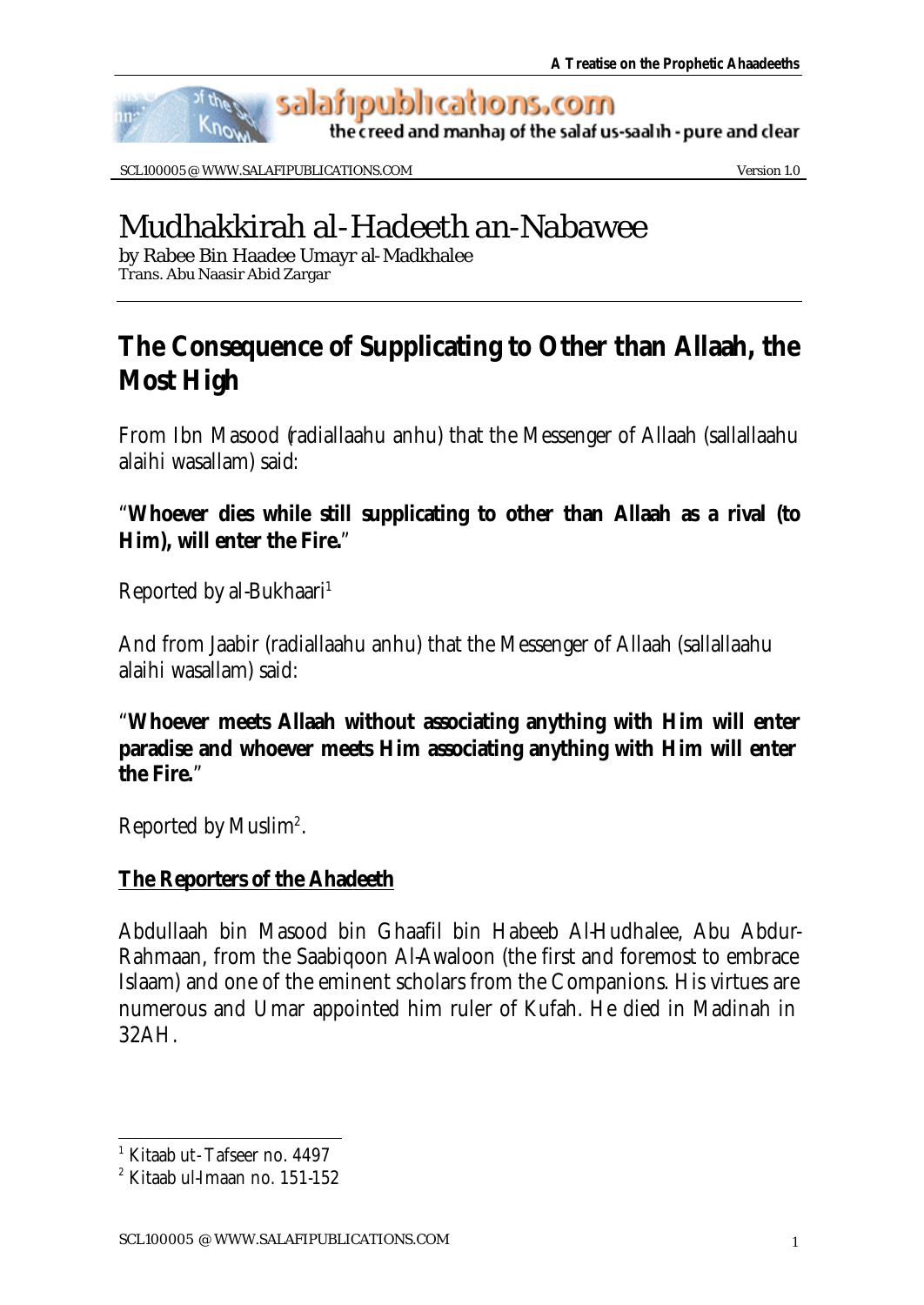

salafipublications.com

the creed and manhaj of the salaf us-saalih - pure and clear

SCL100005 @ WWW.SALAFIPUBLICATIONS.COM Version 1.0

# Mudhakkirah al-Hadeeth an-Nabawee

by Rabee Bin Haadee Umayr al-Madkhalee Trans. Abu Naasir Abid Zargar

# **The Consequence of Supplicating to Other than Allaah, the Most High**

From Ibn Masood (radiallaahu anhu) that the Messenger of Allaah (sallallaahu alaihi wasallam) said:

# "**Whoever dies while still supplicating to other than Allaah as a rival (to Him), will enter the Fire.**"

Reported by al-Bukhaari<sup>1</sup>

And from Jaabir (radiallaahu anhu) that the Messenger of Allaah (sallallaahu alaihi wasallam) said:

"**Whoever meets Allaah without associating anything with Him will enter paradise and whoever meets Him associating anything with Him will enter the Fire.**"

Reported by Muslim<sup>2</sup>.

# **The Reporters of the Ahadeeth**

Abdullaah bin Masood bin Ghaafil bin Habeeb Al-Hudhalee, Abu Abdur-Rahmaan, from the Saabiqoon Al-Awaloon (the first and foremost to embrace Islaam) and one of the eminent scholars from the Companions. His virtues are numerous and Umar appointed him ruler of Kufah. He died in Madinah in 32AH.

 1 Kitaab ut- Tafseer no. 4497

<sup>2</sup> Kitaab ul-Imaan no. 151-152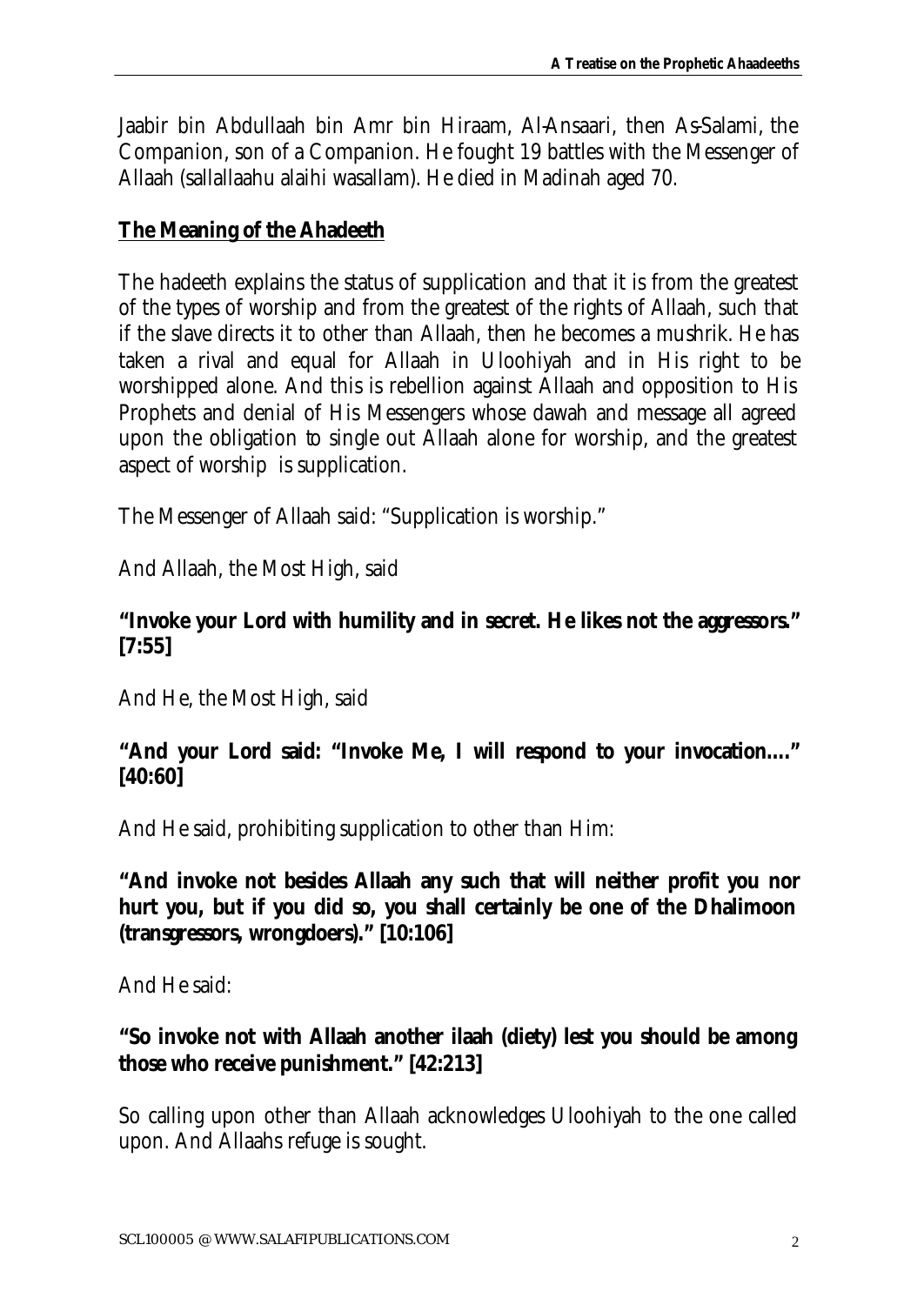Jaabir bin Abdullaah bin Amr bin Hiraam, Al-Ansaari, then As-Salami, the Companion, son of a Companion. He fought 19 battles with the Messenger of Allaah (sallallaahu alaihi wasallam). He died in Madinah aged 70.

#### **The Meaning of the Ahadeeth**

The hadeeth explains the status of supplication and that it is from the greatest of the types of worship and from the greatest of the rights of Allaah, such that if the slave directs it to other than Allaah, then he becomes a mushrik. He has taken a rival and equal for Allaah in Uloohiyah and in His right to be worshipped alone. And this is rebellion against Allaah and opposition to His Prophets and denial of His Messengers whose dawah and message all agreed upon the obligation to single out Allaah alone for worship, and the greatest aspect of worship is supplication.

The Messenger of Allaah said: "Supplication is worship."

And Allaah, the Most High, said

#### **"Invoke your Lord with humility and in secret. He likes not the aggressors." [7:55]**

And He, the Most High, said

#### **"And your Lord said: "Invoke Me, I will respond to your invocation…." [40:60]**

And He said, prohibiting supplication to other than Him:

**"And invoke not besides Allaah any such that will neither profit you nor hurt you, but if you did so, you shall certainly be one of the Dhalimoon (transgressors, wrongdoers)." [10:106]**

And He said:

# **"So invoke not with Allaah another ilaah (diety) lest you should be among those who receive punishment." [42:213]**

So calling upon other than Allaah acknowledges Uloohiyah to the one called upon. And Allaahs refuge is sought.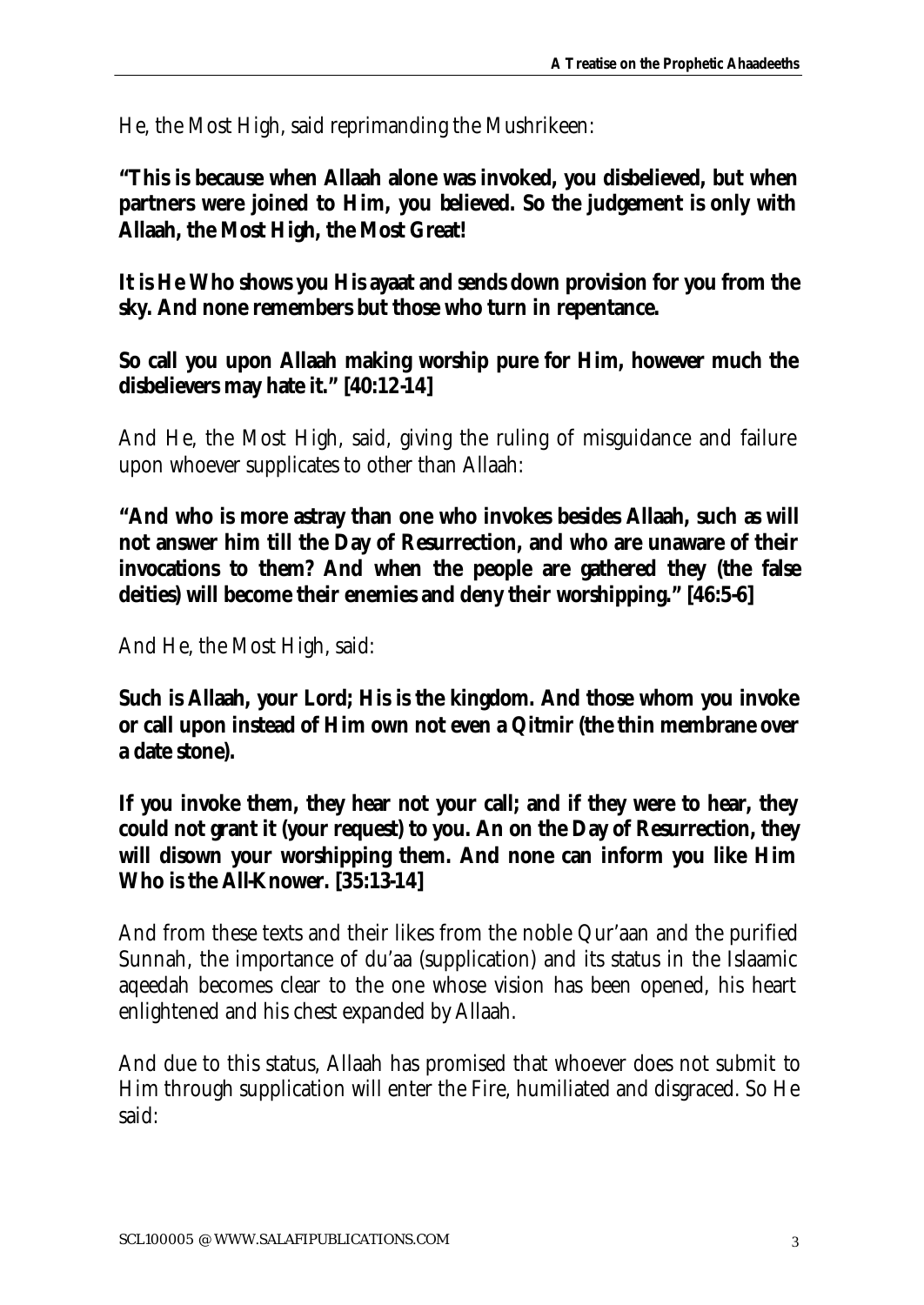He, the Most High, said reprimanding the Mushrikeen:

**"This is because when Allaah alone was invoked, you disbelieved, but when partners were joined to Him, you believed. So the judgement is only with Allaah, the Most High, the Most Great!** 

**It is He Who shows you His ayaat and sends down provision for you from the sky. And none remembers but those who turn in repentance.**

**So call you upon Allaah making worship pure for Him, however much the disbelievers may hate it." [40:12-14]**

And He, the Most High, said, giving the ruling of misguidance and failure upon whoever supplicates to other than Allaah:

**"And who is more astray than one who invokes besides Allaah, such as will not answer him till the Day of Resurrection, and who are unaware of their invocations to them? And when the people are gathered they (the false deities) will become their enemies and deny their worshipping." [46:5-6]** 

And He, the Most High, said:

**Such is Allaah, your Lord; His is the kingdom. And those whom you invoke or call upon instead of Him own not even a** *Qitmir* **(the thin membrane over a date stone).**

**If you invoke them, they hear not your call; and if they were to hear, they could not grant it (your request) to you. An on the Day of Resurrection, they will disown your worshipping them. And none can inform you like Him Who is the All-Knower. [35:13-14]**

And from these texts and their likes from the noble Qur'aan and the purified Sunnah, the importance of du'aa (supplication) and its status in the Islaamic aqeedah becomes clear to the one whose vision has been opened, his heart enlightened and his chest expanded by Allaah.

And due to this status, Allaah has promised that whoever does not submit to Him through supplication will enter the Fire, humiliated and disgraced. So He said: